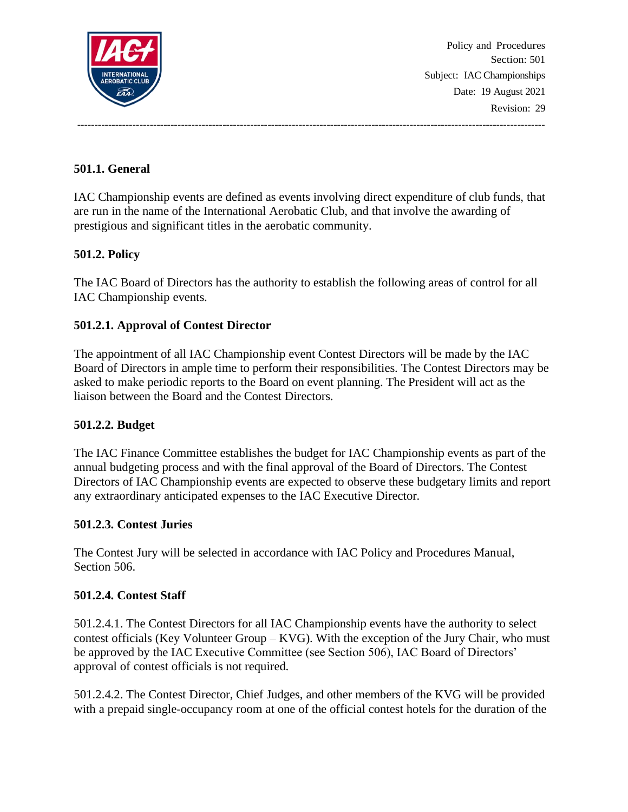

Policy and Procedures Section: 501 Subject: IAC Championships Date: 19 August 2021 Revision: 29

# **501.1. General**

IAC Championship events are defined as events involving direct expenditure of club funds, that are run in the name of the International Aerobatic Club, and that involve the awarding of prestigious and significant titles in the aerobatic community.

---------------------------------------------------------------------------------------------------------------------------------------

## **501.2. Policy**

The IAC Board of Directors has the authority to establish the following areas of control for all IAC Championship events.

## **501.2.1. Approval of Contest Director**

The appointment of all IAC Championship event Contest Directors will be made by the IAC Board of Directors in ample time to perform their responsibilities. The Contest Directors may be asked to make periodic reports to the Board on event planning. The President will act as the liaison between the Board and the Contest Directors.

## **501.2.2. Budget**

The IAC Finance Committee establishes the budget for IAC Championship events as part of the annual budgeting process and with the final approval of the Board of Directors. The Contest Directors of IAC Championship events are expected to observe these budgetary limits and report any extraordinary anticipated expenses to the IAC Executive Director.

### **501.2.3. Contest Juries**

The Contest Jury will be selected in accordance with IAC Policy and Procedures Manual, Section 506.

### **501.2.4. Contest Staff**

501.2.4.1. The Contest Directors for all IAC Championship events have the authority to select contest officials (Key Volunteer Group – KVG). With the exception of the Jury Chair, who must be approved by the IAC Executive Committee (see Section 506), IAC Board of Directors' approval of contest officials is not required.

501.2.4.2. The Contest Director, Chief Judges, and other members of the KVG will be provided with a prepaid single-occupancy room at one of the official contest hotels for the duration of the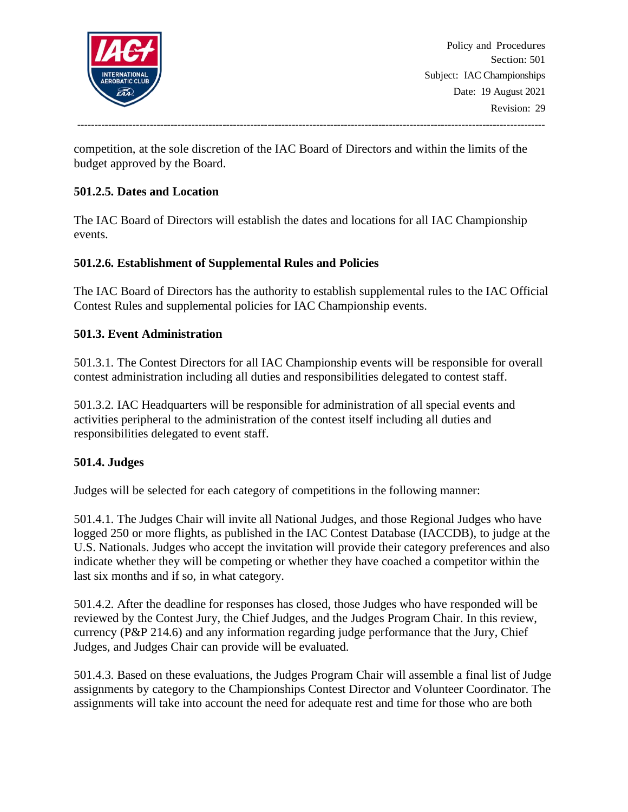

Policy and Procedures Section: 501 Subject: IAC Championships Date: 19 August 2021 Revision: 29

---------------------------------------------------------------------------------------------------------------------------------------

competition, at the sole discretion of the IAC Board of Directors and within the limits of the budget approved by the Board.

### **501.2.5. Dates and Location**

The IAC Board of Directors will establish the dates and locations for all IAC Championship events.

### **501.2.6. Establishment of Supplemental Rules and Policies**

The IAC Board of Directors has the authority to establish supplemental rules to the IAC Official Contest Rules and supplemental policies for IAC Championship events.

### **501.3. Event Administration**

501.3.1. The Contest Directors for all IAC Championship events will be responsible for overall contest administration including all duties and responsibilities delegated to contest staff.

501.3.2. IAC Headquarters will be responsible for administration of all special events and activities peripheral to the administration of the contest itself including all duties and responsibilities delegated to event staff.

### **501.4. Judges**

Judges will be selected for each category of competitions in the following manner:

501.4.1. The Judges Chair will invite all National Judges, and those Regional Judges who have logged 250 or more flights, as published in the IAC Contest Database (IACCDB), to judge at the U.S. Nationals. Judges who accept the invitation will provide their category preferences and also indicate whether they will be competing or whether they have coached a competitor within the last six months and if so, in what category.

501.4.2. After the deadline for responses has closed, those Judges who have responded will be reviewed by the Contest Jury, the Chief Judges, and the Judges Program Chair. In this review, currency (P&P 214.6) and any information regarding judge performance that the Jury, Chief Judges, and Judges Chair can provide will be evaluated.

501.4.3. Based on these evaluations, the Judges Program Chair will assemble a final list of Judge assignments by category to the Championships Contest Director and Volunteer Coordinator. The assignments will take into account the need for adequate rest and time for those who are both